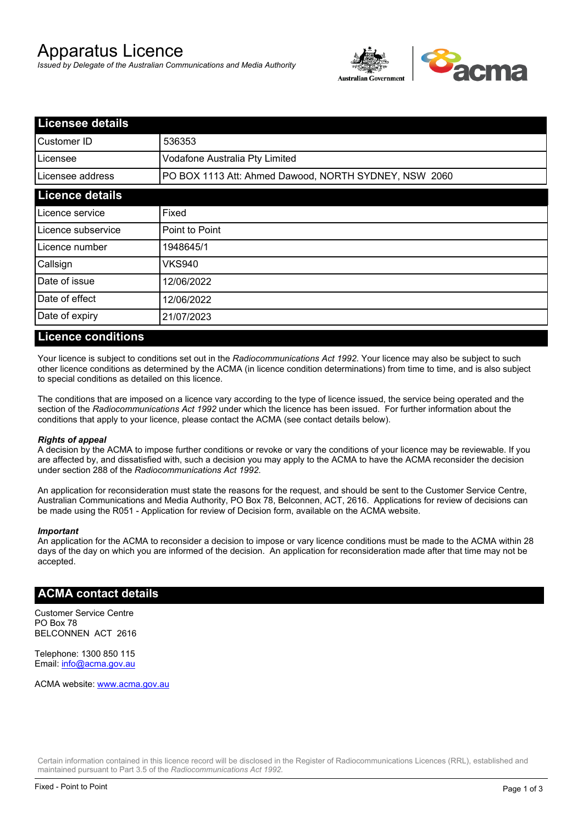# Apparatus Licence

*Issued by Delegate of the Australian Communications and Media Authority*



| <b>Licensee details</b> |                                                       |  |
|-------------------------|-------------------------------------------------------|--|
| lCustomer ID            | 536353                                                |  |
| l Licensee              | Vodafone Australia Pty Limited                        |  |
| Licensee address        | PO BOX 1113 Att: Ahmed Dawood, NORTH SYDNEY, NSW 2060 |  |
| <b>Licence details</b>  |                                                       |  |
| Licence service         | Fixed                                                 |  |
| Licence subservice      | Point to Point                                        |  |
| Licence number          | 1948645/1                                             |  |
| Callsign                | <b>VKS940</b>                                         |  |
| Date of issue           | 12/06/2022                                            |  |
| Date of effect          | 12/06/2022                                            |  |
| Date of expiry          | 21/07/2023                                            |  |

#### **Licence conditions**

Your licence is subject to conditions set out in the *Radiocommunications Act 1992*. Your licence may also be subject to such other licence conditions as determined by the ACMA (in licence condition determinations) from time to time, and is also subject to special conditions as detailed on this licence.

The conditions that are imposed on a licence vary according to the type of licence issued, the service being operated and the section of the *Radiocommunications Act 1992* under which the licence has been issued. For further information about the conditions that apply to your licence, please contact the ACMA (see contact details below).

#### *Rights of appeal*

A decision by the ACMA to impose further conditions or revoke or vary the conditions of your licence may be reviewable. If you are affected by, and dissatisfied with, such a decision you may apply to the ACMA to have the ACMA reconsider the decision under section 288 of the *Radiocommunications Act 1992*.

An application for reconsideration must state the reasons for the request, and should be sent to the Customer Service Centre, Australian Communications and Media Authority, PO Box 78, Belconnen, ACT, 2616. Applications for review of decisions can be made using the R051 - Application for review of Decision form, available on the ACMA website.

#### *Important*

An application for the ACMA to reconsider a decision to impose or vary licence conditions must be made to the ACMA within 28 days of the day on which you are informed of the decision. An application for reconsideration made after that time may not be accepted.

#### **ACMA contact details**

Customer Service Centre PO Box 78 BELCONNEN ACT 2616

Telephone: 1300 850 115 Email: info@acma.gov.au

ACMA website: www.acma.gov.au

Certain information contained in this licence record will be disclosed in the Register of Radiocommunications Licences (RRL), established and maintained pursuant to Part 3.5 of the *Radiocommunications Act 1992.*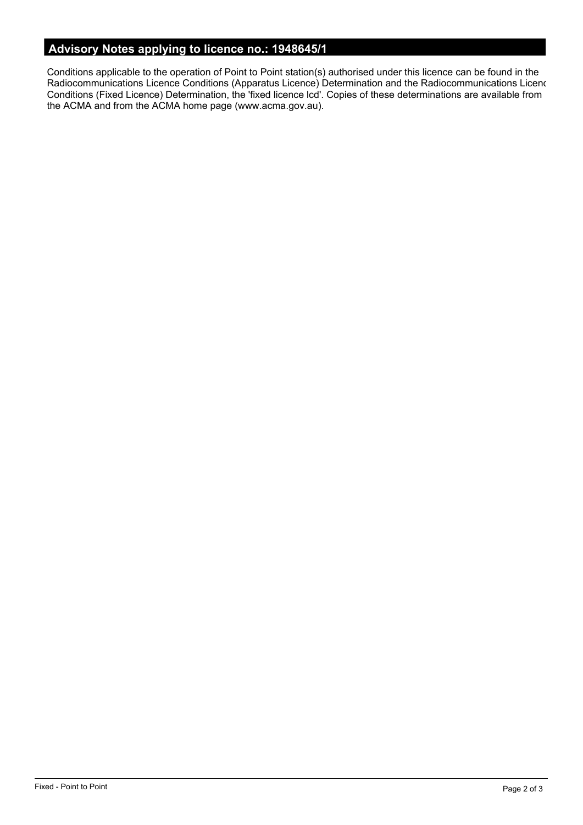# **Advisory Notes applying to licence no.: 1948645/1**

Conditions applicable to the operation of Point to Point station(s) authorised under this licence can be found in the Radiocommunications Licence Conditions (Apparatus Licence) Determination and the Radiocommunications Licence Conditions (Fixed Licence) Determination, the 'fixed licence lcd'. Copies of these determinations are available from the ACMA and from the ACMA home page (www.acma.gov.au).